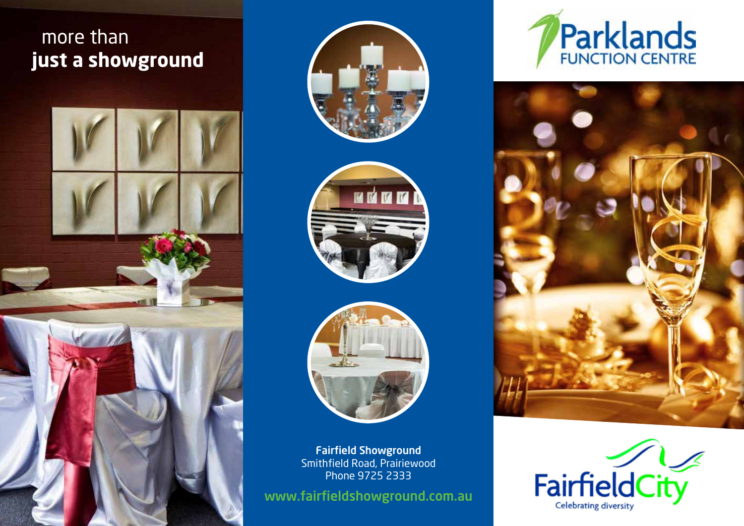# more than **just a showground**









Fairfield Showground Smithfield Road, Prairiewood Phone 9725 2333

www.fairfieldshowground.com.au